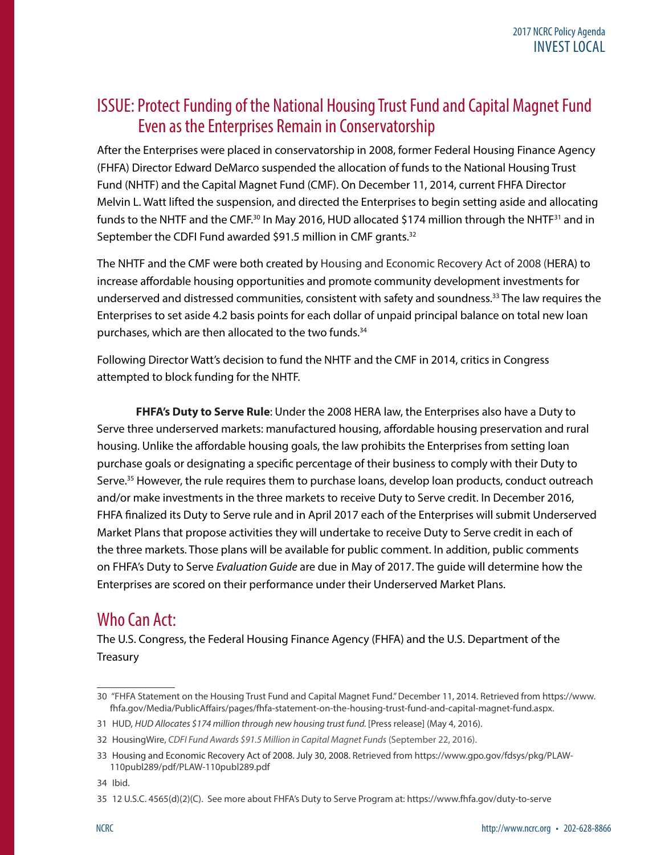## ISSUE: Protect Funding of the National Housing Trust Fund and Capital Magnet Fund Even as the Enterprises Remain in Conservatorship

After the Enterprises were placed in conservatorship in 2008, former Federal Housing Finance Agency (FHFA) Director Edward DeMarco suspended the allocation of funds to the National Housing Trust Fund (NHTF) and the Capital Magnet Fund (CMF). On December 11, 2014, current FHFA Director Melvin L. Watt lifted the suspension, and directed the Enterprises to begin setting aside and allocating funds to the NHTF and the CMF.<sup>30</sup> In May 2016, HUD allocated \$174 million through the NHTF<sup>31</sup> and in September the CDFI Fund awarded \$91.5 million in CMF grants.<sup>32</sup>

The NHTF and the CMF were both created by Housing and Economic Recovery Act of 2008 (HERA) to increase affordable housing opportunities and promote community development investments for underserved and distressed communities, consistent with safety and soundness.<sup>33</sup> The law requires the Enterprises to set aside 4.2 basis points for each dollar of unpaid principal balance on total new loan purchases, which are then allocated to the two funds.<sup>34</sup>

Following Director Watt's decision to fund the NHTF and the CMF in 2014, critics in Congress attempted to block funding for the NHTF.

**FHFA's Duty to Serve Rule**: Under the 2008 HERA law, the Enterprises also have a Duty to Serve three underserved markets: manufactured housing, affordable housing preservation and rural housing. Unlike the affordable housing goals, the law prohibits the Enterprises from setting loan purchase goals or designating a specific percentage of their business to comply with their Duty to Serve.<sup>35</sup> However, the rule requires them to purchase loans, develop loan products, conduct outreach and/or make investments in the three markets to receive Duty to Serve credit. In December 2016, FHFA finalized its Duty to Serve rule and in April 2017 each of the Enterprises will submit Underserved Market Plans that propose activities they will undertake to receive Duty to Serve credit in each of the three markets. Those plans will be available for public comment. In addition, public comments on FHFA's Duty to Serve *Evaluation Guide* are due in May of 2017. The guide will determine how the Enterprises are scored on their performance under their Underserved Market Plans.

## Who Can Act:

The U.S. Congress, the Federal Housing Finance Agency (FHFA) and the U.S. Department of the Treasury

<sup>30 &</sup>quot;FHFA Statement on the Housing Trust Fund and Capital Magnet Fund." December 11, 2014. Retrieved from https://www. fhfa.gov/Media/PublicAffairs/pages/fhfa-statement-on-the-housing-trust-fund-and-capital-magnet-fund.aspx.

<sup>31</sup> HUD, *HUD Allocates \$174 million through new housing trust fund.* [Press release] (May 4, 2016).

<sup>32</sup> HousingWire, *CDFI Fund Awards \$91.5 Million in Capital Magnet Funds* (September 22, 2016).

<sup>33</sup> Housing and Economic Recovery Act of 2008. July 30, 2008. Retrieved from https://www.gpo.gov/fdsys/pkg/PLAW-110publ289/pdf/PLAW-110publ289.pdf

<sup>34</sup> Ibid.

<sup>35 12</sup> U.S.C. 4565(d)(2)(C). See more about FHFA's Duty to Serve Program at: https://www.fhfa.gov/duty-to-serve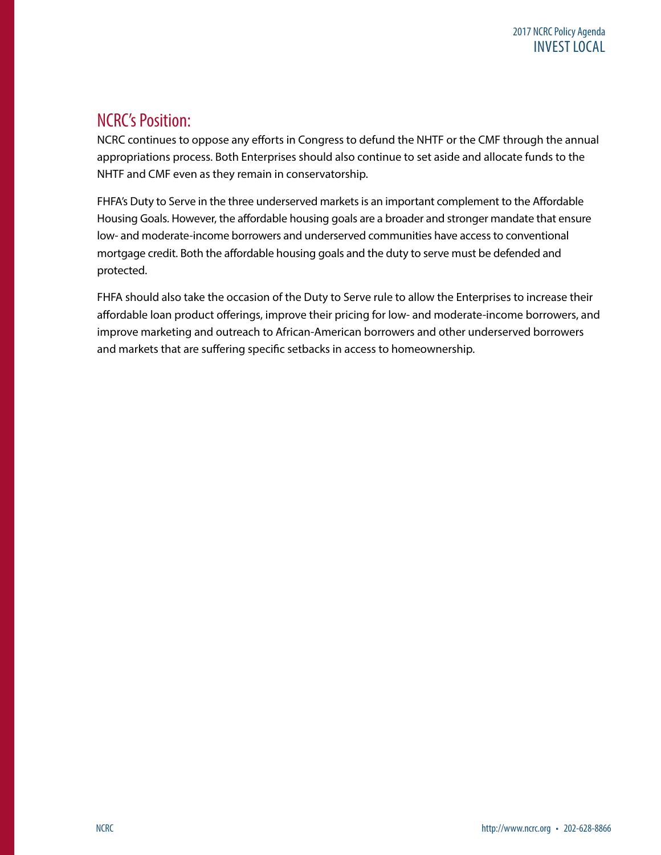## NCRC's Position:

NCRC continues to oppose any efforts in Congress to defund the NHTF or the CMF through the annual appropriations process. Both Enterprises should also continue to set aside and allocate funds to the NHTF and CMF even as they remain in conservatorship.

FHFA's Duty to Serve in the three underserved markets is an important complement to the Affordable Housing Goals. However, the affordable housing goals are a broader and stronger mandate that ensure low- and moderate-income borrowers and underserved communities have access to conventional mortgage credit. Both the affordable housing goals and the duty to serve must be defended and protected.

FHFA should also take the occasion of the Duty to Serve rule to allow the Enterprises to increase their affordable loan product offerings, improve their pricing for low- and moderate-income borrowers, and improve marketing and outreach to African-American borrowers and other underserved borrowers and markets that are suffering specific setbacks in access to homeownership.